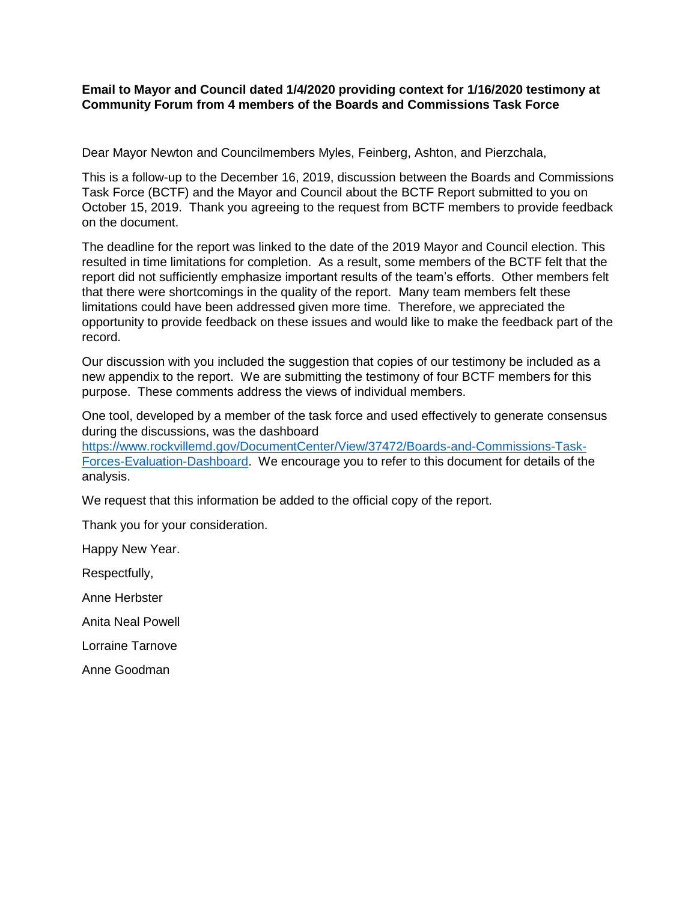**Email to Mayor and Council dated 1/4/2020 providing context for 1/16/2020 testimony at Community Forum from 4 members of the Boards and Commissions Task Force**

Dear Mayor Newton and Councilmembers Myles, Feinberg, Ashton, and Pierzchala,

This is a follow-up to the December 16, 2019, discussion between the Boards and Commissions Task Force (BCTF) and the Mayor and Council about the BCTF Report submitted to you on October 15, 2019. Thank you agreeing to the request from BCTF members to provide feedback on the document.

The deadline for the report was linked to the date of the 2019 Mayor and Council election. This resulted in time limitations for completion. As a result, some members of the BCTF felt that the report did not sufficiently emphasize important results of the team's efforts. Other members felt that there were shortcomings in the quality of the report. Many team members felt these limitations could have been addressed given more time. Therefore, we appreciated the opportunity to provide feedback on these issues and would like to make the feedback part of the record.

Our discussion with you included the suggestion that copies of our testimony be included as a new appendix to the report. We are submitting the testimony of four BCTF members for this purpose. These comments address the views of individual members.

One tool, developed by a member of the task force and used effectively to generate consensus during the discussions, was the dashboard

[https://www.rockvillemd.gov/DocumentCenter/View/37472/Boards-and-Commissions-Task-](https://www.rockvillemd.gov/DocumentCenter/View/37472/Boards-and-Commissions-Task-Forces-Evaluation-Dashboard)[Forces-Evaluation-Dashboard.](https://www.rockvillemd.gov/DocumentCenter/View/37472/Boards-and-Commissions-Task-Forces-Evaluation-Dashboard) We encourage you to refer to this document for details of the analysis.

We request that this information be added to the official copy of the report.

Thank you for your consideration.

Happy New Year.

Respectfully,

Anne Herbster

Anita Neal Powell

Lorraine Tarnove

Anne Goodman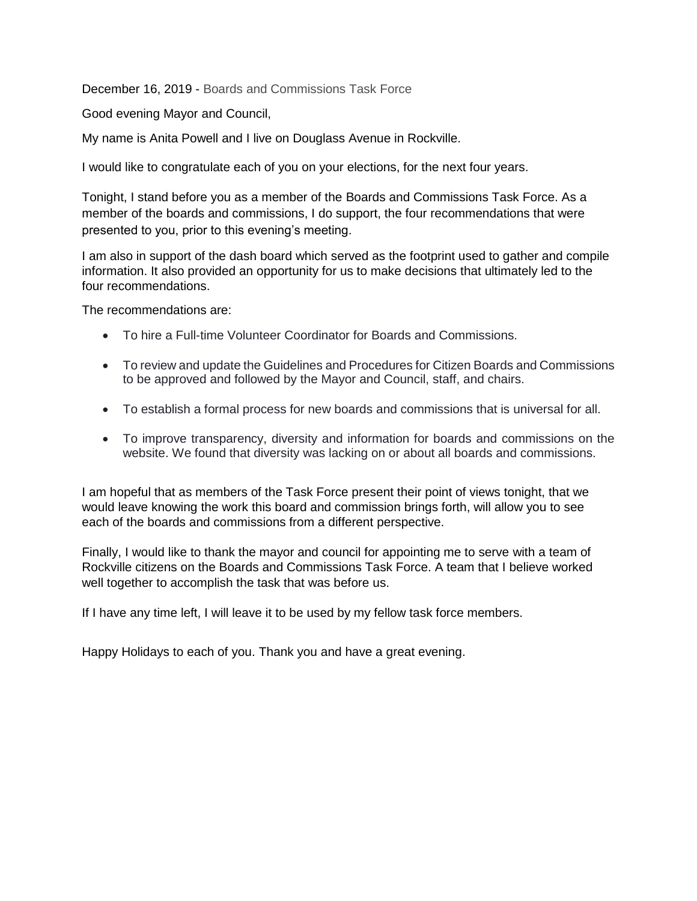December 16, 2019 - Boards and Commissions Task Force

Good evening Mayor and Council,

My name is Anita Powell and I live on Douglass Avenue in Rockville.

I would like to congratulate each of you on your elections, for the next four years.

Tonight, I stand before you as a member of the Boards and Commissions Task Force. As a member of the boards and commissions, I do support, the four recommendations that were presented to you, prior to this evening's meeting.

I am also in support of the dash board which served as the footprint used to gather and compile information. It also provided an opportunity for us to make decisions that ultimately led to the four recommendations.

The recommendations are:

- To hire a Full-time Volunteer Coordinator for Boards and Commissions.
- To review and update the Guidelines and Procedures for Citizen Boards and Commissions to be approved and followed by the Mayor and Council, staff, and chairs.
- To establish a formal process for new boards and commissions that is universal for all.
- To improve transparency, diversity and information for boards and commissions on the website. We found that diversity was lacking on or about all boards and commissions.

I am hopeful that as members of the Task Force present their point of views tonight, that we would leave knowing the work this board and commission brings forth, will allow you to see each of the boards and commissions from a different perspective.

Finally, I would like to thank the mayor and council for appointing me to serve with a team of Rockville citizens on the Boards and Commissions Task Force. A team that I believe worked well together to accomplish the task that was before us.

If I have any time left, I will leave it to be used by my fellow task force members.

Happy Holidays to each of you. Thank you and have a great evening.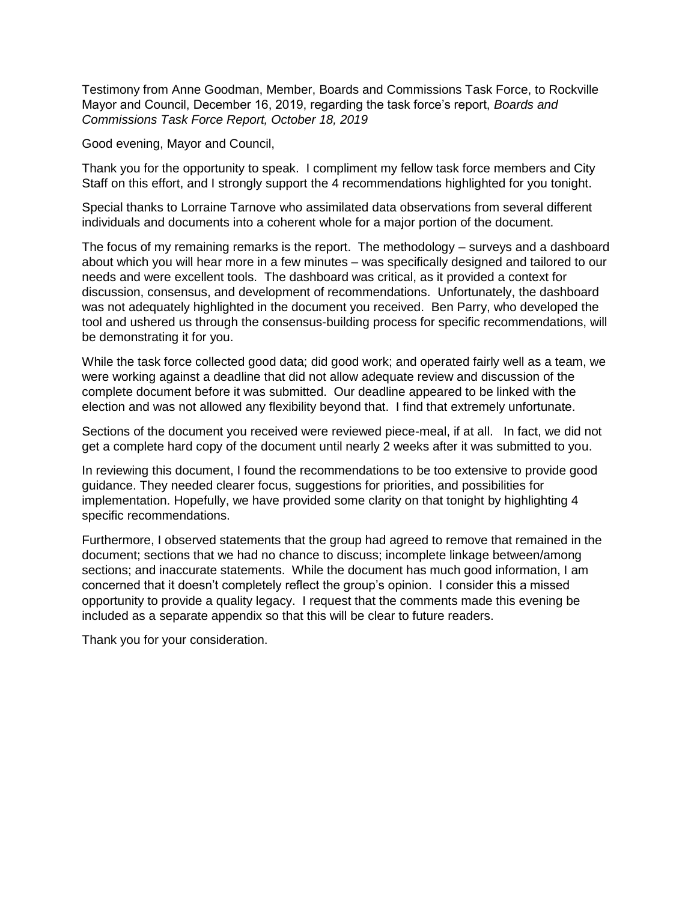Testimony from Anne Goodman, Member, Boards and Commissions Task Force, to Rockville Mayor and Council, December 16, 2019, regarding the task force's report, *Boards and Commissions Task Force Report, October 18, 2019*

Good evening, Mayor and Council,

Thank you for the opportunity to speak. I compliment my fellow task force members and City Staff on this effort, and I strongly support the 4 recommendations highlighted for you tonight.

Special thanks to Lorraine Tarnove who assimilated data observations from several different individuals and documents into a coherent whole for a major portion of the document.

The focus of my remaining remarks is the report. The methodology – surveys and a dashboard about which you will hear more in a few minutes – was specifically designed and tailored to our needs and were excellent tools. The dashboard was critical, as it provided a context for discussion, consensus, and development of recommendations. Unfortunately, the dashboard was not adequately highlighted in the document you received. Ben Parry, who developed the tool and ushered us through the consensus-building process for specific recommendations, will be demonstrating it for you.

While the task force collected good data; did good work; and operated fairly well as a team, we were working against a deadline that did not allow adequate review and discussion of the complete document before it was submitted. Our deadline appeared to be linked with the election and was not allowed any flexibility beyond that. I find that extremely unfortunate.

Sections of the document you received were reviewed piece-meal, if at all. In fact, we did not get a complete hard copy of the document until nearly 2 weeks after it was submitted to you.

In reviewing this document, I found the recommendations to be too extensive to provide good guidance. They needed clearer focus, suggestions for priorities, and possibilities for implementation. Hopefully, we have provided some clarity on that tonight by highlighting 4 specific recommendations.

Furthermore, I observed statements that the group had agreed to remove that remained in the document; sections that we had no chance to discuss; incomplete linkage between/among sections; and inaccurate statements. While the document has much good information, I am concerned that it doesn't completely reflect the group's opinion. I consider this a missed opportunity to provide a quality legacy. I request that the comments made this evening be included as a separate appendix so that this will be clear to future readers.

Thank you for your consideration.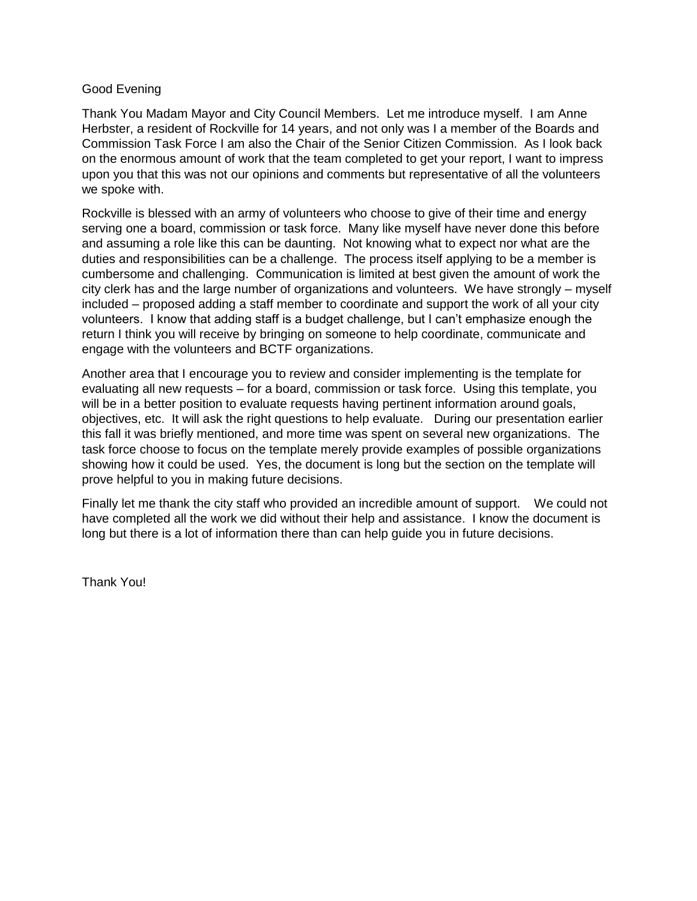## Good Evening

Thank You Madam Mayor and City Council Members. Let me introduce myself. I am Anne Herbster, a resident of Rockville for 14 years, and not only was I a member of the Boards and Commission Task Force I am also the Chair of the Senior Citizen Commission. As I look back on the enormous amount of work that the team completed to get your report, I want to impress upon you that this was not our opinions and comments but representative of all the volunteers we spoke with.

Rockville is blessed with an army of volunteers who choose to give of their time and energy serving one a board, commission or task force. Many like myself have never done this before and assuming a role like this can be daunting. Not knowing what to expect nor what are the duties and responsibilities can be a challenge. The process itself applying to be a member is cumbersome and challenging. Communication is limited at best given the amount of work the city clerk has and the large number of organizations and volunteers. We have strongly – myself included – proposed adding a staff member to coordinate and support the work of all your city volunteers. I know that adding staff is a budget challenge, but I can't emphasize enough the return I think you will receive by bringing on someone to help coordinate, communicate and engage with the volunteers and BCTF organizations.

Another area that I encourage you to review and consider implementing is the template for evaluating all new requests – for a board, commission or task force. Using this template, you will be in a better position to evaluate requests having pertinent information around goals, objectives, etc. It will ask the right questions to help evaluate. During our presentation earlier this fall it was briefly mentioned, and more time was spent on several new organizations. The task force choose to focus on the template merely provide examples of possible organizations showing how it could be used. Yes, the document is long but the section on the template will prove helpful to you in making future decisions.

Finally let me thank the city staff who provided an incredible amount of support. We could not have completed all the work we did without their help and assistance. I know the document is long but there is a lot of information there than can help guide you in future decisions.

Thank You!